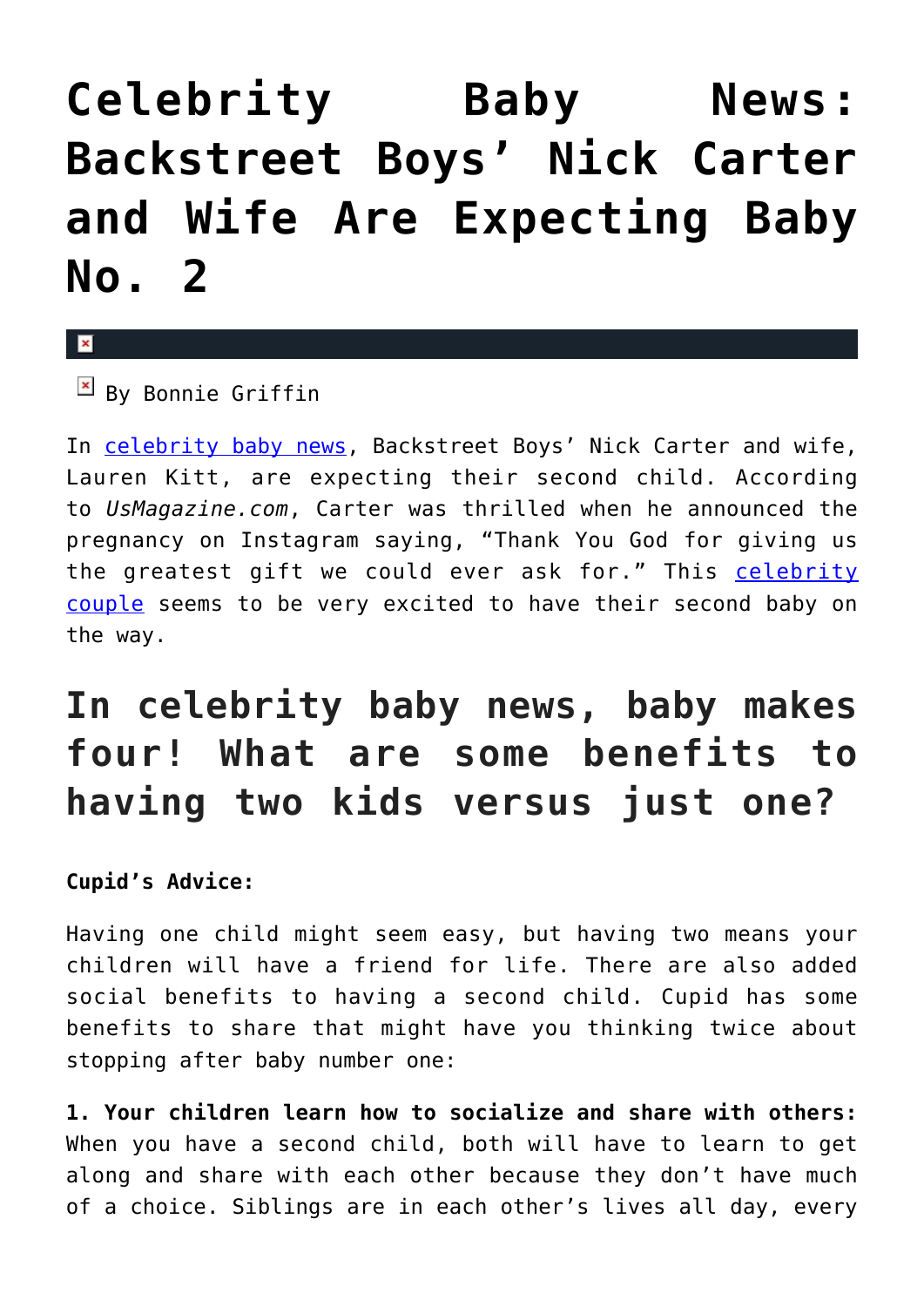## **[Celebrity Baby News:](https://cupidspulse.com/130381/celebrity-baby-news-backstreet-boys-nick-carter-wife-expecting-baby-no-2/) [Backstreet Boys' Nick Carter](https://cupidspulse.com/130381/celebrity-baby-news-backstreet-boys-nick-carter-wife-expecting-baby-no-2/) [and Wife Are Expecting Baby](https://cupidspulse.com/130381/celebrity-baby-news-backstreet-boys-nick-carter-wife-expecting-baby-no-2/) [No. 2](https://cupidspulse.com/130381/celebrity-baby-news-backstreet-boys-nick-carter-wife-expecting-baby-no-2/)**

 $\mathbf{x}$ 

 $\boxed{\times}$  By Bonnie Griffin

In [celebrity baby news,](http://cupidspulse.com/celebrity-relationships/celebrity-babies/) Backstreet Boys' Nick Carter and wife, Lauren Kitt, are expecting their second child. According to *UsMagazine.com*, Carter was thrilled when he announced the pregnancy on Instagram saying, "Thank You God for giving us the greatest gift we could ever ask for." This [celebrity](http://cupidspulse.com/celebrity-news/celebrity-dating/) [couple](http://cupidspulse.com/celebrity-news/celebrity-dating/) seems to be very excited to have their second baby on the way.

## **In celebrity baby news, baby makes four! What are some benefits to having two kids versus just one?**

## **Cupid's Advice:**

Having one child might seem easy, but having two means your children will have a friend for life. There are also added social benefits to having a second child. Cupid has some benefits to share that might have you thinking twice about stopping after baby number one:

**1. Your children learn how to socialize and share with others:** When you have a second child, both will have to learn to get along and share with each other because they don't have much of a choice. Siblings are in each other's lives all day, every